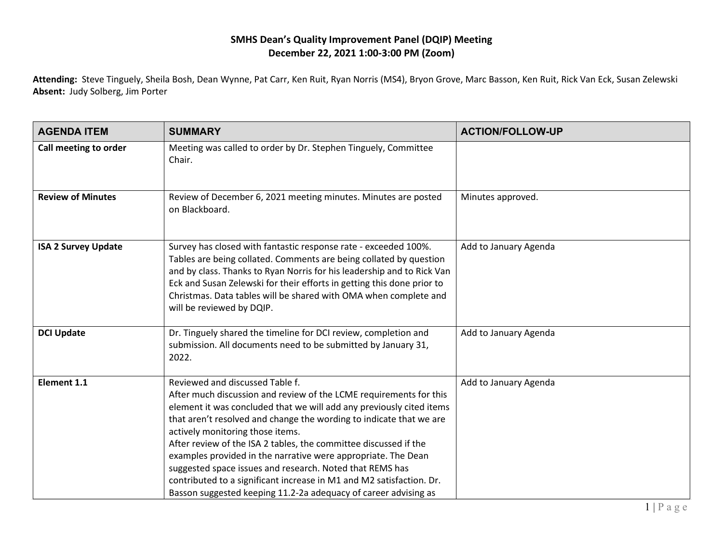## **SMHS Dean's Quality Improvement Panel (DQIP) Meeting December 22, 2021 1:00-3:00 PM (Zoom)**

**Attending:** Steve Tinguely, Sheila Bosh, Dean Wynne, Pat Carr, Ken Ruit, Ryan Norris (MS4), Bryon Grove, Marc Basson, Ken Ruit, Rick Van Eck, Susan Zelewski **Absent:** Judy Solberg, Jim Porter

| <b>AGENDA ITEM</b>         | <b>SUMMARY</b>                                                                                                                                                                                                                                                                                                                                                                                                                                                                                                                                                                                                                       | <b>ACTION/FOLLOW-UP</b> |
|----------------------------|--------------------------------------------------------------------------------------------------------------------------------------------------------------------------------------------------------------------------------------------------------------------------------------------------------------------------------------------------------------------------------------------------------------------------------------------------------------------------------------------------------------------------------------------------------------------------------------------------------------------------------------|-------------------------|
| Call meeting to order      | Meeting was called to order by Dr. Stephen Tinguely, Committee<br>Chair.                                                                                                                                                                                                                                                                                                                                                                                                                                                                                                                                                             |                         |
| <b>Review of Minutes</b>   | Review of December 6, 2021 meeting minutes. Minutes are posted<br>on Blackboard.                                                                                                                                                                                                                                                                                                                                                                                                                                                                                                                                                     | Minutes approved.       |
| <b>ISA 2 Survey Update</b> | Survey has closed with fantastic response rate - exceeded 100%.<br>Tables are being collated. Comments are being collated by question<br>and by class. Thanks to Ryan Norris for his leadership and to Rick Van<br>Eck and Susan Zelewski for their efforts in getting this done prior to<br>Christmas. Data tables will be shared with OMA when complete and<br>will be reviewed by DQIP.                                                                                                                                                                                                                                           | Add to January Agenda   |
| <b>DCI Update</b>          | Dr. Tinguely shared the timeline for DCI review, completion and<br>submission. All documents need to be submitted by January 31,<br>2022.                                                                                                                                                                                                                                                                                                                                                                                                                                                                                            | Add to January Agenda   |
| Element 1.1                | Reviewed and discussed Table f.<br>After much discussion and review of the LCME requirements for this<br>element it was concluded that we will add any previously cited items<br>that aren't resolved and change the wording to indicate that we are<br>actively monitoring those items.<br>After review of the ISA 2 tables, the committee discussed if the<br>examples provided in the narrative were appropriate. The Dean<br>suggested space issues and research. Noted that REMS has<br>contributed to a significant increase in M1 and M2 satisfaction. Dr.<br>Basson suggested keeping 11.2-2a adequacy of career advising as | Add to January Agenda   |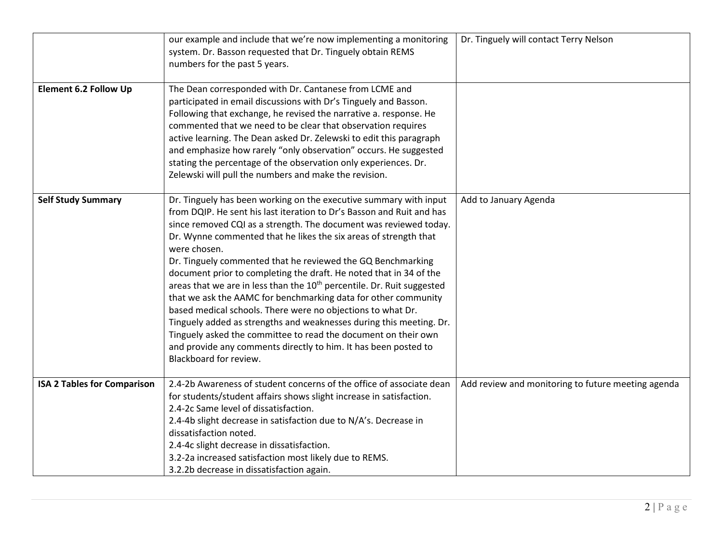|                                    | our example and include that we're now implementing a monitoring<br>system. Dr. Basson requested that Dr. Tinguely obtain REMS<br>numbers for the past 5 years.                                                                                                                                                                                                                                                                                                                                                                                                                                                                                                                                                                                                                                                                                                                                       | Dr. Tinguely will contact Terry Nelson             |
|------------------------------------|-------------------------------------------------------------------------------------------------------------------------------------------------------------------------------------------------------------------------------------------------------------------------------------------------------------------------------------------------------------------------------------------------------------------------------------------------------------------------------------------------------------------------------------------------------------------------------------------------------------------------------------------------------------------------------------------------------------------------------------------------------------------------------------------------------------------------------------------------------------------------------------------------------|----------------------------------------------------|
| <b>Element 6.2 Follow Up</b>       | The Dean corresponded with Dr. Cantanese from LCME and<br>participated in email discussions with Dr's Tinguely and Basson.<br>Following that exchange, he revised the narrative a. response. He<br>commented that we need to be clear that observation requires<br>active learning. The Dean asked Dr. Zelewski to edit this paragraph<br>and emphasize how rarely "only observation" occurs. He suggested<br>stating the percentage of the observation only experiences. Dr.<br>Zelewski will pull the numbers and make the revision.                                                                                                                                                                                                                                                                                                                                                                |                                                    |
| <b>Self Study Summary</b>          | Dr. Tinguely has been working on the executive summary with input<br>from DQIP. He sent his last iteration to Dr's Basson and Ruit and has<br>since removed CQI as a strength. The document was reviewed today.<br>Dr. Wynne commented that he likes the six areas of strength that<br>were chosen.<br>Dr. Tinguely commented that he reviewed the GQ Benchmarking<br>document prior to completing the draft. He noted that in 34 of the<br>areas that we are in less than the 10 <sup>th</sup> percentile. Dr. Ruit suggested<br>that we ask the AAMC for benchmarking data for other community<br>based medical schools. There were no objections to what Dr.<br>Tinguely added as strengths and weaknesses during this meeting. Dr.<br>Tinguely asked the committee to read the document on their own<br>and provide any comments directly to him. It has been posted to<br>Blackboard for review. | Add to January Agenda                              |
| <b>ISA 2 Tables for Comparison</b> | 2.4-2b Awareness of student concerns of the office of associate dean<br>for students/student affairs shows slight increase in satisfaction.<br>2.4-2c Same level of dissatisfaction.<br>2.4-4b slight decrease in satisfaction due to N/A's. Decrease in<br>dissatisfaction noted.<br>2.4-4c slight decrease in dissatisfaction.<br>3.2-2a increased satisfaction most likely due to REMS.<br>3.2.2b decrease in dissatisfaction again.                                                                                                                                                                                                                                                                                                                                                                                                                                                               | Add review and monitoring to future meeting agenda |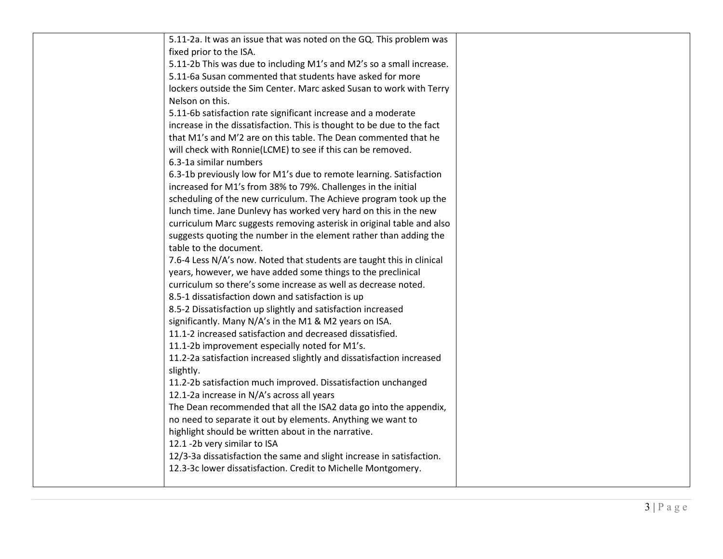| 5.11-2a. It was an issue that was noted on the GQ. This problem was    |  |
|------------------------------------------------------------------------|--|
| fixed prior to the ISA.                                                |  |
| 5.11-2b This was due to including M1's and M2's so a small increase.   |  |
| 5.11-6a Susan commented that students have asked for more              |  |
| lockers outside the Sim Center. Marc asked Susan to work with Terry    |  |
| Nelson on this.                                                        |  |
| 5.11-6b satisfaction rate significant increase and a moderate          |  |
| increase in the dissatisfaction. This is thought to be due to the fact |  |
| that M1's and M'2 are on this table. The Dean commented that he        |  |
| will check with Ronnie(LCME) to see if this can be removed.            |  |
| 6.3-1a similar numbers                                                 |  |
| 6.3-1b previously low for M1's due to remote learning. Satisfaction    |  |
| increased for M1's from 38% to 79%. Challenges in the initial          |  |
| scheduling of the new curriculum. The Achieve program took up the      |  |
| lunch time. Jane Dunlevy has worked very hard on this in the new       |  |
| curriculum Marc suggests removing asterisk in original table and also  |  |
| suggests quoting the number in the element rather than adding the      |  |
| table to the document.                                                 |  |
| 7.6-4 Less N/A's now. Noted that students are taught this in clinical  |  |
| years, however, we have added some things to the preclinical           |  |
| curriculum so there's some increase as well as decrease noted.         |  |
| 8.5-1 dissatisfaction down and satisfaction is up                      |  |
| 8.5-2 Dissatisfaction up slightly and satisfaction increased           |  |
| significantly. Many N/A's in the M1 & M2 years on ISA.                 |  |
| 11.1-2 increased satisfaction and decreased dissatisfied.              |  |
| 11.1-2b improvement especially noted for M1's.                         |  |
| 11.2-2a satisfaction increased slightly and dissatisfaction increased  |  |
| slightly.                                                              |  |
| 11.2-2b satisfaction much improved. Dissatisfaction unchanged          |  |
| 12.1-2a increase in N/A's across all years                             |  |
| The Dean recommended that all the ISA2 data go into the appendix,      |  |
| no need to separate it out by elements. Anything we want to            |  |
| highlight should be written about in the narrative.                    |  |
| 12.1 -2b very similar to ISA                                           |  |
| 12/3-3a dissatisfaction the same and slight increase in satisfaction.  |  |
| 12.3-3c lower dissatisfaction. Credit to Michelle Montgomery.          |  |
|                                                                        |  |
|                                                                        |  |